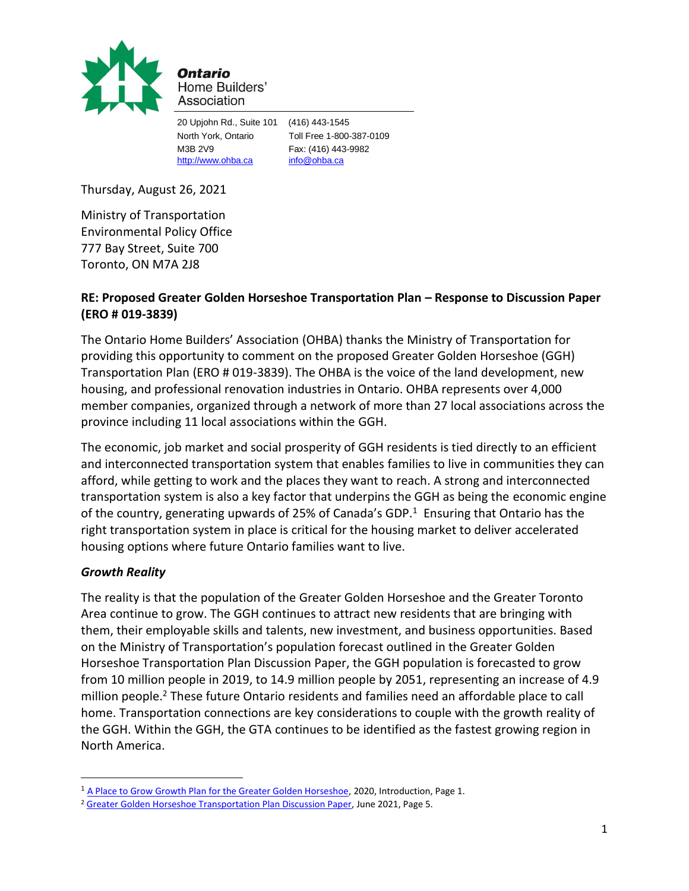

Ontario Home Builders' Association

20 Upjohn Rd., Suite 101 (416) 443-1545 M3B 2V9 Fax: (416) 443-9982 [http://www.ohba.ca](http://www.ohba.ca/) [info@ohba.ca](mailto:info@ohba.ca)

North York, Ontario Toll Free 1-800-387-0109

Thursday, August 26, 2021

Ministry of Transportation Environmental Policy Office 777 Bay Street, Suite 700 Toronto, ON M7A 2J8

# **RE: Proposed Greater Golden Horseshoe Transportation Plan – Response to Discussion Paper (ERO # 019-3839)**

The Ontario Home Builders' Association (OHBA) thanks the Ministry of Transportation for providing this opportunity to comment on the proposed Greater Golden Horseshoe (GGH) Transportation Plan (ERO # 019-3839). The OHBA is the voice of the land development, new housing, and professional renovation industries in Ontario. OHBA represents over 4,000 member companies, organized through a network of more than 27 local associations across the province including 11 local associations within the GGH.

The economic, job market and social prosperity of GGH residents is tied directly to an efficient and interconnected transportation system that enables families to live in communities they can afford, while getting to work and the places they want to reach. A strong and interconnected transportation system is also a key factor that underpins the GGH as being the economic engine of the country, generating upwards of 25% of Canada's GDP.<sup>1</sup> Ensuring that Ontario has the right transportation system in place is critical for the housing market to deliver accelerated housing options where future Ontario families want to live.

## *Growth Reality*

The reality is that the population of the Greater Golden Horseshoe and the Greater Toronto Area continue to grow. The GGH continues to attract new residents that are bringing with them, their employable skills and talents, new investment, and business opportunities. Based on the Ministry of Transportation's population forecast outlined in the Greater Golden Horseshoe Transportation Plan Discussion Paper, the GGH population is forecasted to grow from 10 million people in 2019, to 14.9 million people by 2051, representing an increase of 4.9 million people.<sup>2</sup> These future Ontario residents and families need an affordable place to call home. Transportation connections are key considerations to couple with the growth reality of the GGH. Within the GGH, the GTA continues to be identified as the fastest growing region in North America.

<sup>&</sup>lt;sup>1</sup> [A Place to Grow Growth Plan for the Greater Golden Horseshoe,](https://www.ontario.ca/document/place-grow-growth-plan-greater-golden-horseshoe) 2020, Introduction, Page 1.

<sup>&</sup>lt;sup>2</sup> [Greater Golden Horseshoe Transportation Plan Discussion Paper,](https://prod-environmental-registry.s3.amazonaws.com/2021-07/Discussion%20Paper%20Towards%20a%20Greater%20Golden%20Horseshoe%20Transportation%20Plan%20%28June%202021%29.pdf) June 2021, Page 5.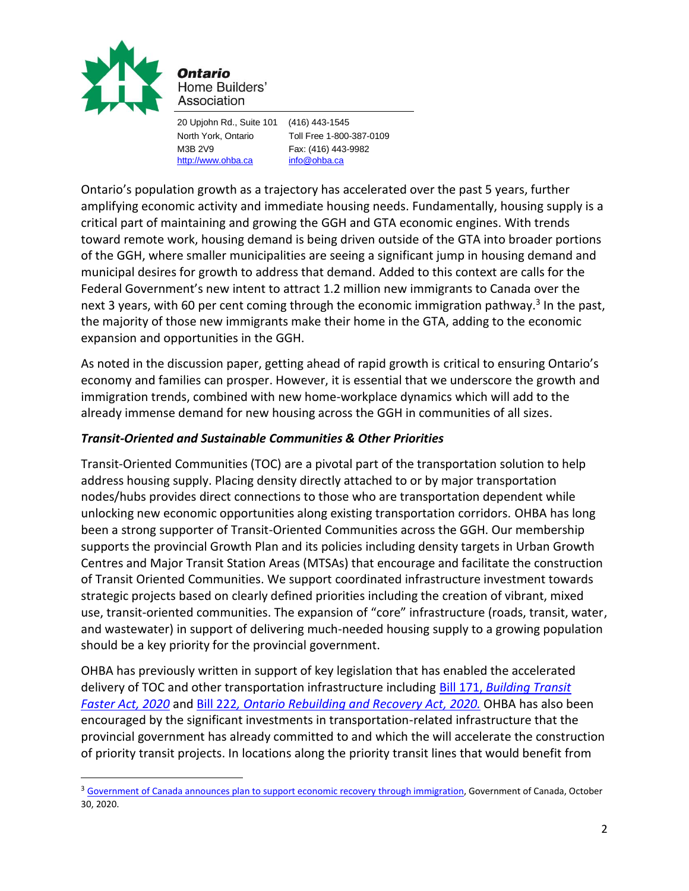

Ontario Home Builders' Association

[http://www.ohba.ca](http://www.ohba.ca/) [info@ohba.ca](mailto:info@ohba.ca)

20 Upjohn Rd., Suite 101 (416) 443-1545 North York, Ontario Toll Free 1-800-387-0109 M3B 2V9 Fax: (416) 443-9982

Ontario's population growth as a trajectory has accelerated over the past 5 years, further amplifying economic activity and immediate housing needs. Fundamentally, housing supply is a critical part of maintaining and growing the GGH and GTA economic engines. With trends toward remote work, housing demand is being driven outside of the GTA into broader portions of the GGH, where smaller municipalities are seeing a significant jump in housing demand and municipal desires for growth to address that demand. Added to this context are calls for the Federal Government's new intent to attract 1.2 million new immigrants to Canada over the next 3 years, with 60 per cent coming through the economic immigration pathway.<sup>3</sup> In the past, the majority of those new immigrants make their home in the GTA, adding to the economic expansion and opportunities in the GGH.

As noted in the discussion paper, getting ahead of rapid growth is critical to ensuring Ontario's economy and families can prosper. However, it is essential that we underscore the growth and immigration trends, combined with new home-workplace dynamics which will add to the already immense demand for new housing across the GGH in communities of all sizes.

# *Transit-Oriented and Sustainable Communities & Other Priorities*

Transit-Oriented Communities (TOC) are a pivotal part of the transportation solution to help address housing supply. Placing density directly attached to or by major transportation nodes/hubs provides direct connections to those who are transportation dependent while unlocking new economic opportunities along existing transportation corridors. OHBA has long been a strong supporter of Transit-Oriented Communities across the GGH. Our membership supports the provincial Growth Plan and its policies including density targets in Urban Growth Centres and Major Transit Station Areas (MTSAs) that encourage and facilitate the construction of Transit Oriented Communities. We support coordinated infrastructure investment towards strategic projects based on clearly defined priorities including the creation of vibrant, mixed use, transit-oriented communities. The expansion of "core" infrastructure (roads, transit, water, and wastewater) in support of delivering much-needed housing supply to a growing population should be a key priority for the provincial government.

OHBA has previously written in support of key legislation that has enabled the accelerated delivery of TOC and other transportation infrastructure including Bill 171, *[Building Transit](https://www.ohba.ca/wp-content/uploads/2020/07/ohba-bild-bill-171-building-transit-faster-act-submission-june-2020.pdf)  [Faster Act, 2020](https://www.ohba.ca/wp-content/uploads/2020/07/ohba-bild-bill-171-building-transit-faster-act-submission-june-2020.pdf)* and Bill 222*[, Ontario Rebuilding and Recovery Act, 2020.](https://www.ohba.ca/ohba-submission-bill-222-ontario-rebuilding-and-recovery-act-2020/)* OHBA has also been encouraged by the significant investments in transportation-related infrastructure that the provincial government has already committed to and which the will accelerate the construction of priority transit projects. In locations along the priority transit lines that would benefit from

<sup>&</sup>lt;sup>3</sup> [Government of Canada announces plan to support economic recovery](https://www.canada.ca/en/immigration-refugees-citizenship/news/2020/10/government-of-canada-announces-plan-to-support-economic-recovery-through-immigration.html) through immigration, Government of Canada, October 30, 2020.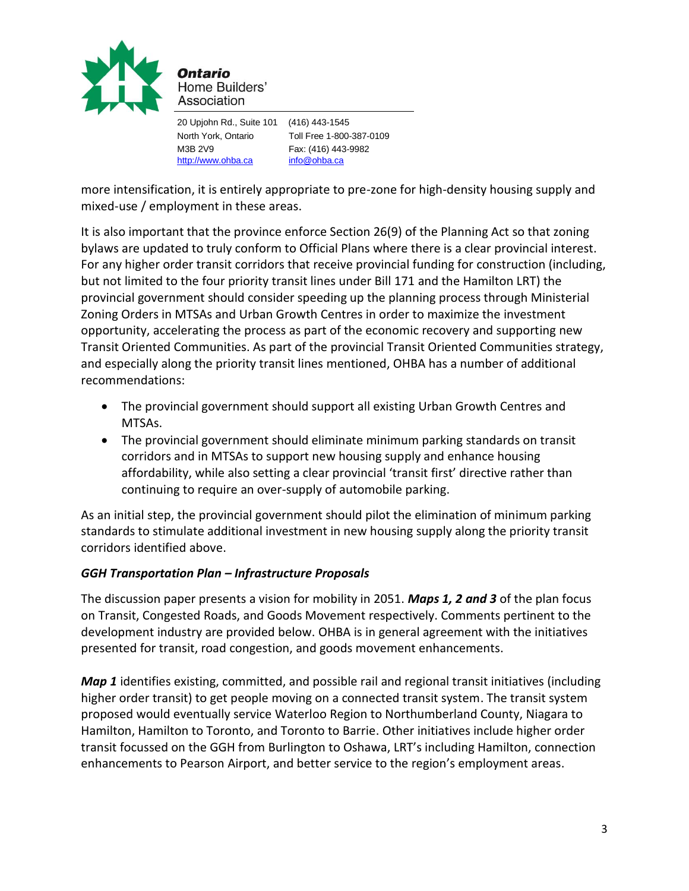

Home Builders' Association

20 Upjohn Rd., Suite 101 (416) 443-1545 North York, Ontario Toll Free 1-800-387-0109 M3B 2V9 Fax: (416) 443-9982 [http://www.ohba.ca](http://www.ohba.ca/) [info@ohba.ca](mailto:info@ohba.ca)

more intensification, it is entirely appropriate to pre-zone for high-density housing supply and mixed-use / employment in these areas.

It is also important that the province enforce Section 26(9) of the Planning Act so that zoning bylaws are updated to truly conform to Official Plans where there is a clear provincial interest. For any higher order transit corridors that receive provincial funding for construction (including, but not limited to the four priority transit lines under Bill 171 and the Hamilton LRT) the provincial government should consider speeding up the planning process through Ministerial Zoning Orders in MTSAs and Urban Growth Centres in order to maximize the investment opportunity, accelerating the process as part of the economic recovery and supporting new Transit Oriented Communities. As part of the provincial Transit Oriented Communities strategy, and especially along the priority transit lines mentioned, OHBA has a number of additional recommendations:

- The provincial government should support all existing Urban Growth Centres and MTSAs.
- The provincial government should eliminate minimum parking standards on transit corridors and in MTSAs to support new housing supply and enhance housing affordability, while also setting a clear provincial 'transit first' directive rather than continuing to require an over-supply of automobile parking.

As an initial step, the provincial government should pilot the elimination of minimum parking standards to stimulate additional investment in new housing supply along the priority transit corridors identified above.

## *GGH Transportation Plan – Infrastructure Proposals*

The discussion paper presents a vision for mobility in 2051. *Maps 1, 2 and 3* of the plan focus on Transit, Congested Roads, and Goods Movement respectively. Comments pertinent to the development industry are provided below. OHBA is in general agreement with the initiatives presented for transit, road congestion, and goods movement enhancements.

*Map 1* identifies existing, committed, and possible rail and regional transit initiatives (including higher order transit) to get people moving on a connected transit system. The transit system proposed would eventually service Waterloo Region to Northumberland County, Niagara to Hamilton, Hamilton to Toronto, and Toronto to Barrie. Other initiatives include higher order transit focussed on the GGH from Burlington to Oshawa, LRT's including Hamilton, connection enhancements to Pearson Airport, and better service to the region's employment areas.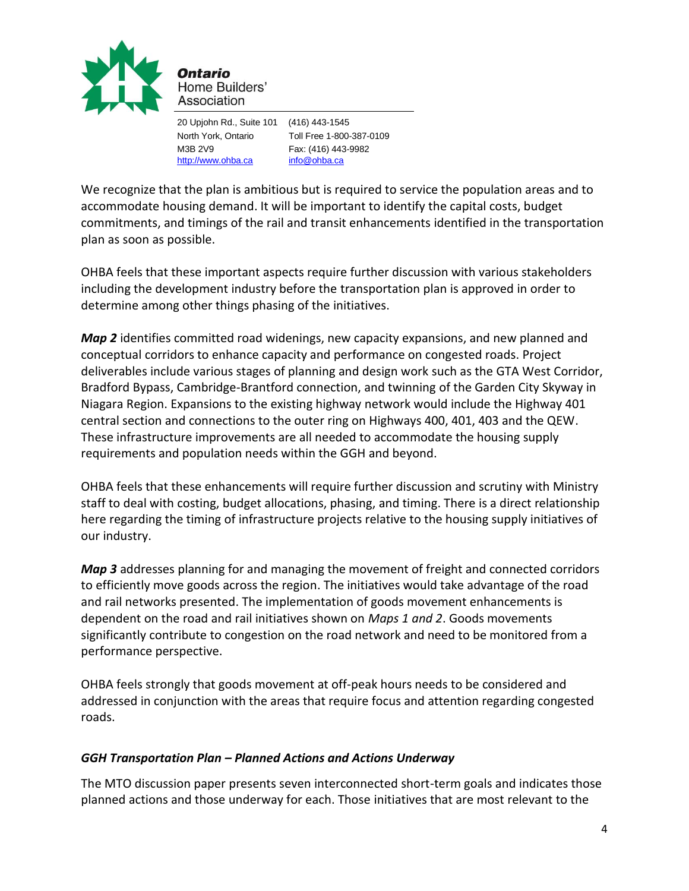

Home Builders' Association

[http://www.ohba.ca](http://www.ohba.ca/) [info@ohba.ca](mailto:info@ohba.ca)

20 Upjohn Rd., Suite 101 (416) 443-1545 North York, Ontario Toll Free 1-800-387-0109 M3B 2V9 Fax: (416) 443-9982

We recognize that the plan is ambitious but is required to service the population areas and to accommodate housing demand. It will be important to identify the capital costs, budget commitments, and timings of the rail and transit enhancements identified in the transportation plan as soon as possible.

OHBA feels that these important aspects require further discussion with various stakeholders including the development industry before the transportation plan is approved in order to determine among other things phasing of the initiatives.

*Map 2* identifies committed road widenings, new capacity expansions, and new planned and conceptual corridors to enhance capacity and performance on congested roads. Project deliverables include various stages of planning and design work such as the GTA West Corridor, Bradford Bypass, Cambridge-Brantford connection, and twinning of the Garden City Skyway in Niagara Region. Expansions to the existing highway network would include the Highway 401 central section and connections to the outer ring on Highways 400, 401, 403 and the QEW. These infrastructure improvements are all needed to accommodate the housing supply requirements and population needs within the GGH and beyond.

OHBA feels that these enhancements will require further discussion and scrutiny with Ministry staff to deal with costing, budget allocations, phasing, and timing. There is a direct relationship here regarding the timing of infrastructure projects relative to the housing supply initiatives of our industry.

*Map 3* addresses planning for and managing the movement of freight and connected corridors to efficiently move goods across the region. The initiatives would take advantage of the road and rail networks presented. The implementation of goods movement enhancements is dependent on the road and rail initiatives shown on *Maps 1 and 2*. Goods movements significantly contribute to congestion on the road network and need to be monitored from a performance perspective.

OHBA feels strongly that goods movement at off-peak hours needs to be considered and addressed in conjunction with the areas that require focus and attention regarding congested roads.

## *GGH Transportation Plan – Planned Actions and Actions Underway*

The MTO discussion paper presents seven interconnected short-term goals and indicates those planned actions and those underway for each. Those initiatives that are most relevant to the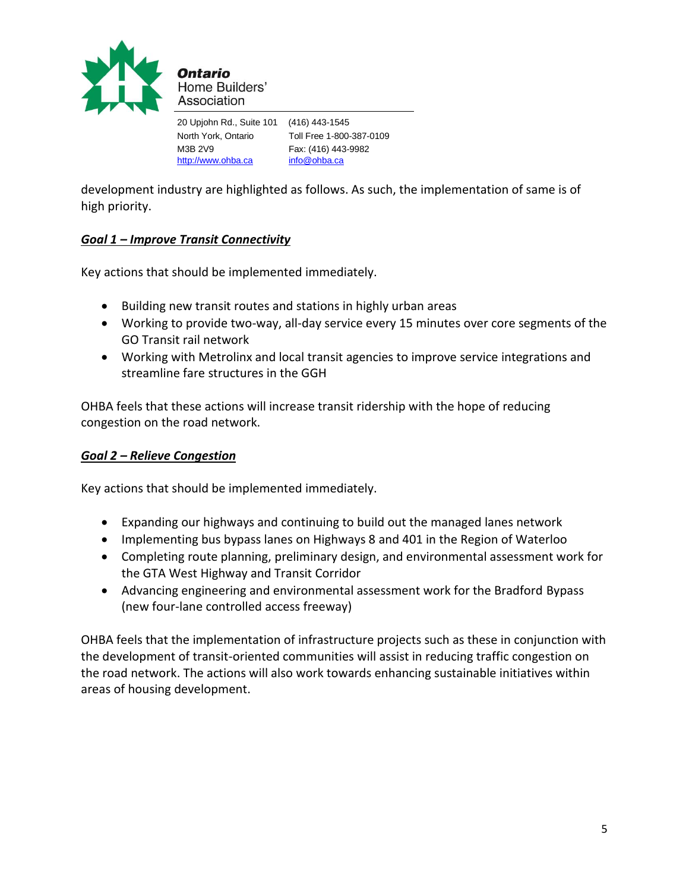

20 Upjohn Rd., Suite 101 (416) 443-1545 North York, Ontario Toll Free 1-800-387-0109 M3B 2V9 Fax: (416) 443-9982 [http://www.ohba.ca](http://www.ohba.ca/) [info@ohba.ca](mailto:info@ohba.ca)

development industry are highlighted as follows. As such, the implementation of same is of high priority.

## *Goal 1 – Improve Transit Connectivity*

Key actions that should be implemented immediately.

- Building new transit routes and stations in highly urban areas
- Working to provide two-way, all-day service every 15 minutes over core segments of the GO Transit rail network
- Working with Metrolinx and local transit agencies to improve service integrations and streamline fare structures in the GGH

OHBA feels that these actions will increase transit ridership with the hope of reducing congestion on the road network.

## *Goal 2 – Relieve Congestion*

Key actions that should be implemented immediately.

- Expanding our highways and continuing to build out the managed lanes network
- Implementing bus bypass lanes on Highways 8 and 401 in the Region of Waterloo
- Completing route planning, preliminary design, and environmental assessment work for the GTA West Highway and Transit Corridor
- Advancing engineering and environmental assessment work for the Bradford Bypass (new four-lane controlled access freeway)

OHBA feels that the implementation of infrastructure projects such as these in conjunction with the development of transit-oriented communities will assist in reducing traffic congestion on the road network. The actions will also work towards enhancing sustainable initiatives within areas of housing development.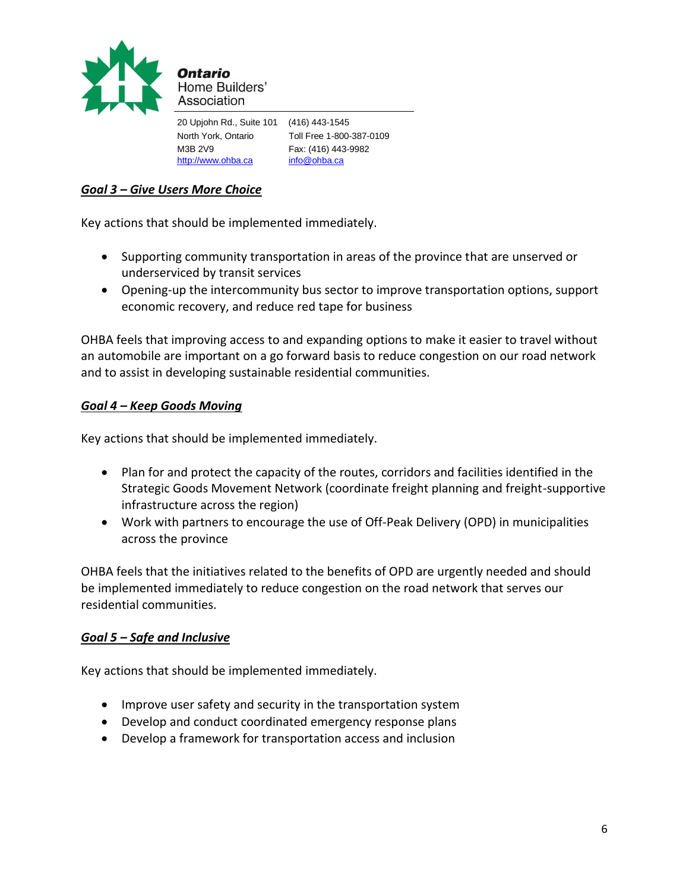

| 20 Upjohn Rd., Suite 101 | (416) 443-1545           |
|--------------------------|--------------------------|
| North York, Ontario      | Toll Free 1-800-387-0109 |
| M3B 2V9                  | Fax: (416) 443-9982      |
| http://www.ohba.ca       | info@ohba.ca             |

## *Goal 3 – Give Users More Choice*

Key actions that should be implemented immediately.

- Supporting community transportation in areas of the province that are unserved or underserviced by transit services
- Opening-up the intercommunity bus sector to improve transportation options, support economic recovery, and reduce red tape for business

OHBA feels that improving access to and expanding options to make it easier to travel without an automobile are important on a go forward basis to reduce congestion on our road network and to assist in developing sustainable residential communities.

#### *Goal 4 – Keep Goods Moving*

Key actions that should be implemented immediately.

- Plan for and protect the capacity of the routes, corridors and facilities identified in the Strategic Goods Movement Network (coordinate freight planning and freight-supportive infrastructure across the region)
- Work with partners to encourage the use of Off-Peak Delivery (OPD) in municipalities across the province

OHBA feels that the initiatives related to the benefits of OPD are urgently needed and should be implemented immediately to reduce congestion on the road network that serves our residential communities.

#### *Goal 5 – Safe and Inclusive*

Key actions that should be implemented immediately.

- Improve user safety and security in the transportation system
- Develop and conduct coordinated emergency response plans
- Develop a framework for transportation access and inclusion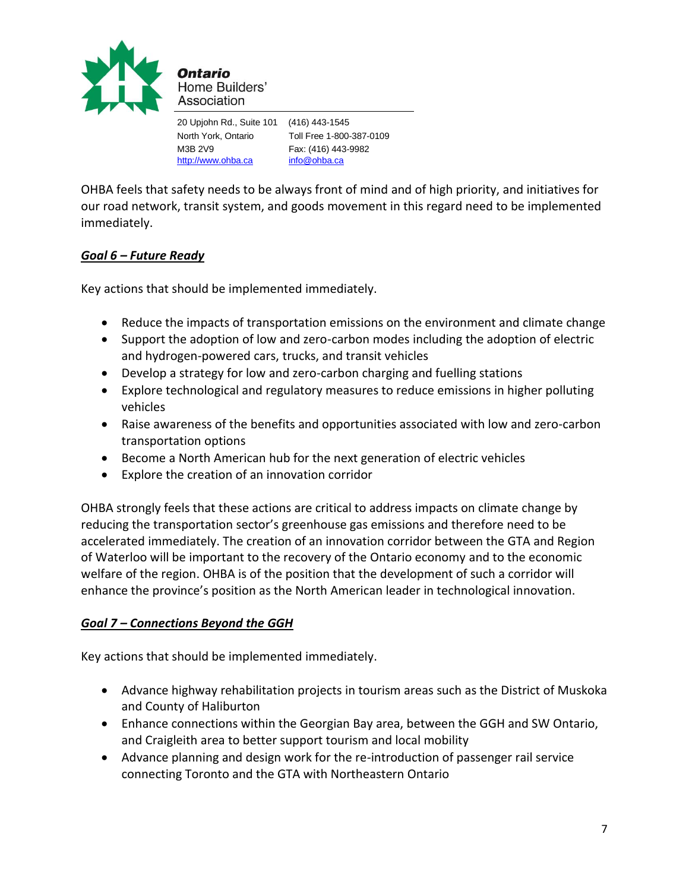

20 Upjohn Rd., Suite 101 (416) 443-1545 North York, Ontario Toll Free 1-800-387-0109 M3B 2V9 Fax: (416) 443-9982 [http://www.ohba.ca](http://www.ohba.ca/) [info@ohba.ca](mailto:info@ohba.ca)

OHBA feels that safety needs to be always front of mind and of high priority, and initiatives for our road network, transit system, and goods movement in this regard need to be implemented immediately.

## *Goal 6 – Future Ready*

Key actions that should be implemented immediately.

- Reduce the impacts of transportation emissions on the environment and climate change
- Support the adoption of low and zero-carbon modes including the adoption of electric and hydrogen-powered cars, trucks, and transit vehicles
- Develop a strategy for low and zero-carbon charging and fuelling stations
- Explore technological and regulatory measures to reduce emissions in higher polluting vehicles
- Raise awareness of the benefits and opportunities associated with low and zero-carbon transportation options
- Become a North American hub for the next generation of electric vehicles
- Explore the creation of an innovation corridor

OHBA strongly feels that these actions are critical to address impacts on climate change by reducing the transportation sector's greenhouse gas emissions and therefore need to be accelerated immediately. The creation of an innovation corridor between the GTA and Region of Waterloo will be important to the recovery of the Ontario economy and to the economic welfare of the region. OHBA is of the position that the development of such a corridor will enhance the province's position as the North American leader in technological innovation.

## *Goal 7 – Connections Beyond the GGH*

Key actions that should be implemented immediately.

- Advance highway rehabilitation projects in tourism areas such as the District of Muskoka and County of Haliburton
- Enhance connections within the Georgian Bay area, between the GGH and SW Ontario, and Craigleith area to better support tourism and local mobility
- Advance planning and design work for the re-introduction of passenger rail service connecting Toronto and the GTA with Northeastern Ontario